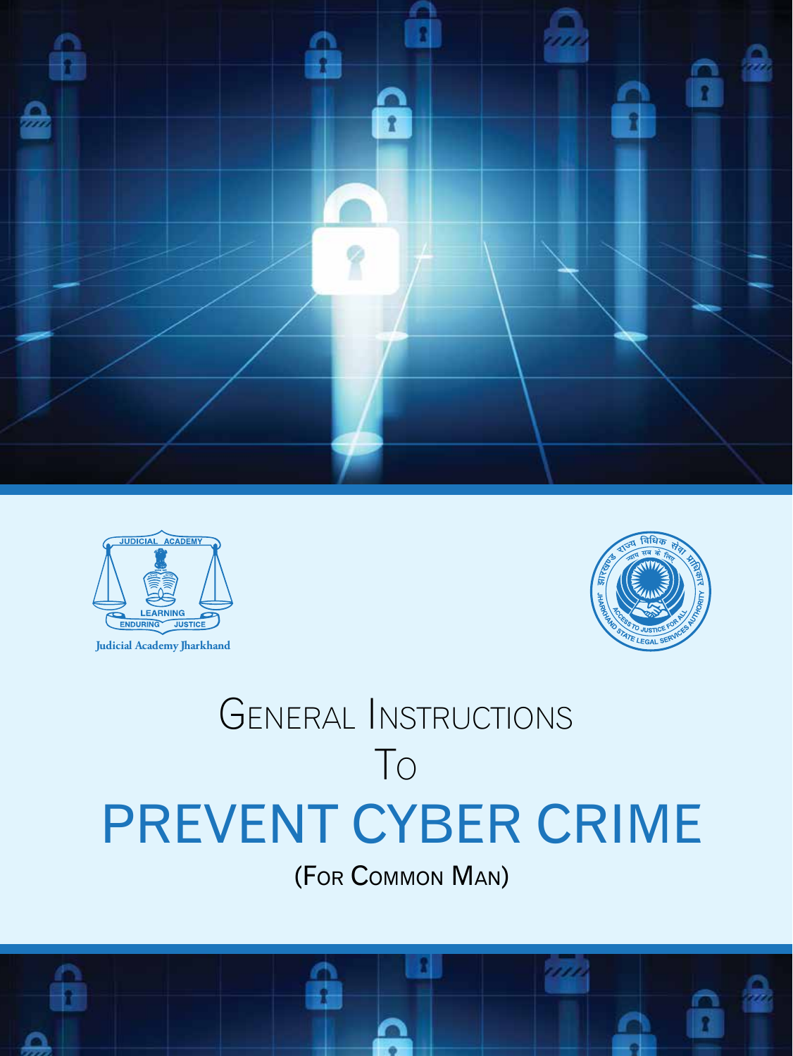



**Judicial Academy Jharkhand**



# GENERAL INSTRUCTIONS TO PREVENT CYBER CRIME

(FOR COMMON MAN)

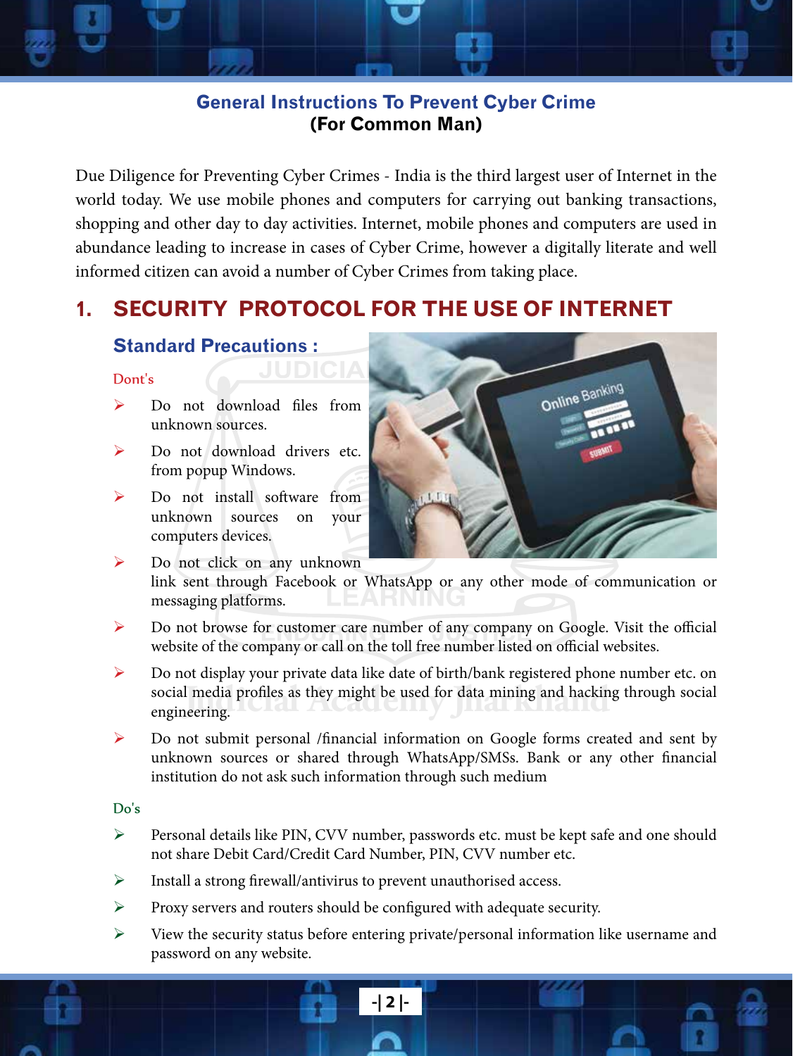## **General Instructions To Prevent Cyber Crime (For Common Man)**

Due Diligence for Preventing Cyber Crimes - India is the third largest user of Internet in the world today. We use mobile phones and computers for carrying out banking transactions, shopping and other day to day activities. Internet, mobile phones and computers are used in abundance leading to increase in cases of Cyber Crime, however a digitally literate and well informed citizen can avoid a number of Cyber Crimes from taking place.

# **1. SECURITY PROTOCOL FOR THE USE OF INTERNET**

#### **Standard Precautions :**

#### Dont's

- $\triangleright$  Do not download files from unknown sources.
- $\triangleright$  Do not download drivers etc. from popup Windows.
- $\triangleright$  Do not install software from unknown sources on your computers devices.



 $\triangleright$  Do not click on any unknown link sent through Facebook or WhatsApp or any other mode of communication or messaging platforms.

- $\triangleright$  Do not browse for customer care number of any company on Google. Visit the official website of the company or call on the toll free number listed on official websites.
- social media profiles as they might be used for data mining and hacking through social engineering. ¾ Do not display your private data like date of birth/bank registered phone number etc. on engineering.
- ¾ Do not submit personal /financial information on Google forms created and sent by unknown sources or shared through WhatsApp/SMSs. Bank or any other financial institution do not ask such information through such medium

#### Do's

- ¾ Personal details like PIN, CVV number, passwords etc. must be kept safe and one should not share Debit Card/Credit Card Number, PIN, CVV number etc.
- $\triangleright$  Install a strong firewall/antivirus to prevent unauthorised access.
- ¾ Proxy servers and routers should be configured with adequate security.
- ¾ View the security status before entering private/personal information like username and password on any website.

**-| 2 |-**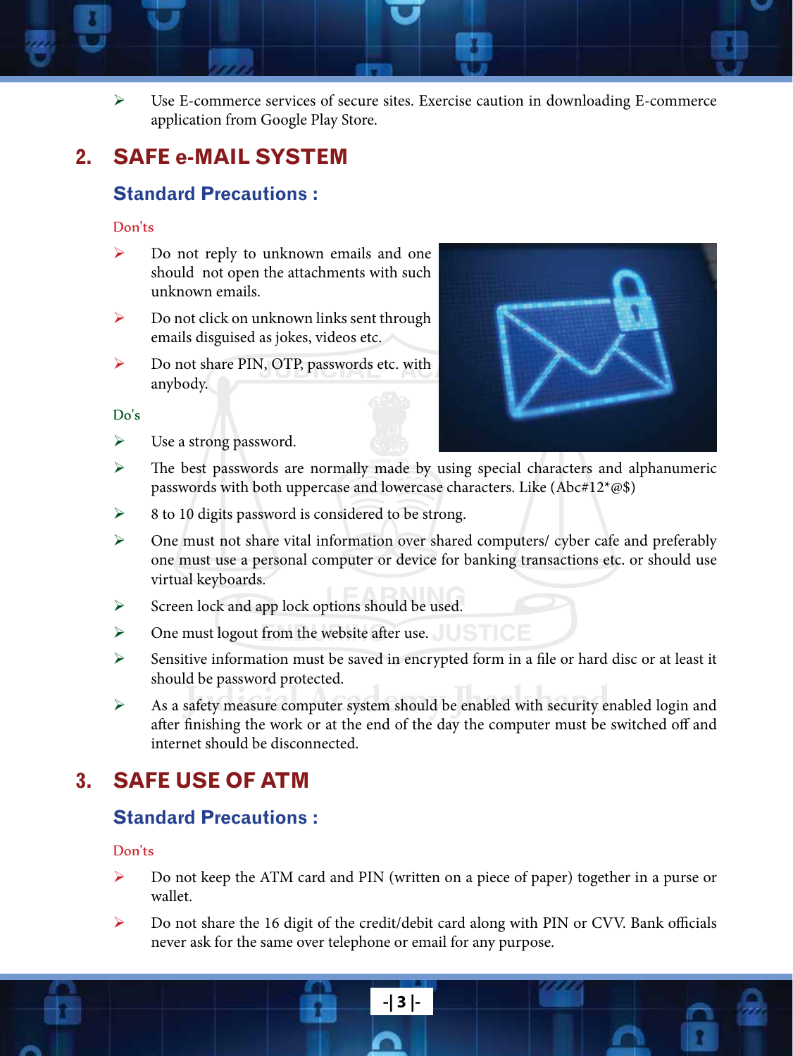

¾ Use E-commerce services of secure sites. Exercise caution in downloading E-commerce application from Google Play Store.

# **2. SAFE e-MAIL SYSTEM**

#### **Standard Precautions :**

#### Don'ts

- ¾ Do not reply to unknown emails and one should not open the attachments with such unknown emails.
- $\triangleright$  Do not click on unknown links sent through emails disguised as jokes, videos etc.
- ¾ Do not share PIN, OTP, passwords etc. with anybody.

#### Do's

 $\triangleright$  Use a strong password.



- $\triangleright$  The best passwords are normally made by using special characters and alphanumeric passwords with both uppercase and lowercase characters. Like (Abc#12\*@\$)
- ¾ 8 to 10 digits password is considered to be strong.
- ¾ One must not share vital information over shared computers/ cyber cafe and preferably one must use a personal computer or device for banking transactions etc. or should use virtual keyboards.
- $\blacktriangleright$  Screen lock and app lock options should be used.
- $\triangleright$  One must logout from the website after use.
- ¾ Sensitive information must be saved in encrypted form in a file or hard disc or at least it should be password protected.
- Academy **Judicial Computer System should be enabled with security enabled login and** after finishing the work or at the end of the day the computer must be switched off and internet should be disconnected.

# **3. SAFE USE OF ATM**

#### **Standard Precautions :**

#### Don'ts

- Do not keep the ATM card and PIN (written on a piece of paper) together in a purse or wallet.
- ¾ Do not share the 16 digit of the credit/debit card along with PIN or CVV. Bank officials never ask for the same over telephone or email for any purpose.

**-| 3 |-**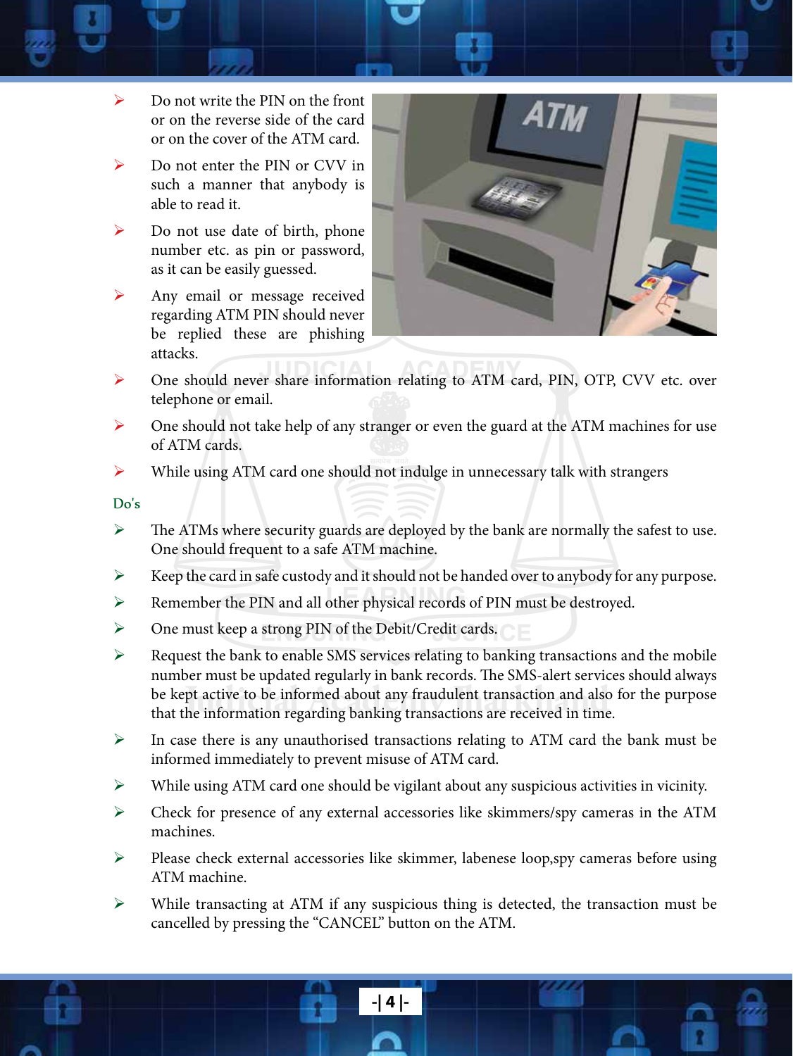- $\triangleright$  Do not write the PIN on the front or on the reverse side of the card or on the cover of the ATM card.
- $\triangleright$  Do not enter the PIN or CVV in such a manner that anybody is able to read it.
- $\triangleright$  Do not use date of birth, phone number etc. as pin or password, as it can be easily guessed.
- $\triangleright$  Any email or message received regarding ATM PIN should never be replied these are phishing attacks.



- ¾ One should never share information relating to ATM card, PIN, OTP, CVV etc. over telephone or email.
- $\triangleright$  One should not take help of any stranger or even the guard at the ATM machines for use of ATM cards.
- $\triangleright$  While using ATM card one should not indulge in unnecessary talk with strangers

Do's

- $\triangleright$  The ATMs where security guards are deployed by the bank are normally the safest to use. One should frequent to a safe ATM machine.
- $\triangleright$  Keep the card in safe custody and it should not be handed over to anybody for any purpose.
- ¾ Remember the PIN and all other physical records of PIN must be destroyed.
- ¾ One must keep a strong PIN of the Debit/Credit cards.
- be kept active to be informed about any fraudulent transaction and also that the information regarding banking transactions are received in time.  $\triangleright$  Request the bank to enable SMS services relating to banking transactions and the mobile number must be updated regularly in bank records. The SMS-alert services should always be kept active to be informed about any fraudulent transaction and also for the purpose
- $\triangleright$  In case there is any unauthorised transactions relating to ATM card the bank must be informed immediately to prevent misuse of ATM card.
- ¾ While using ATM card one should be vigilant about any suspicious activities in vicinity.
- ¾ Check for presence of any external accessories like skimmers/spy cameras in the ATM machines.
- ¾ Please check external accessories like skimmer, labenese loop,spy cameras before using ATM machine.
- ¾ While transacting at ATM if any suspicious thing is detected, the transaction must be cancelled by pressing the "CANCEL" button on the ATM.

**-| 4 |-**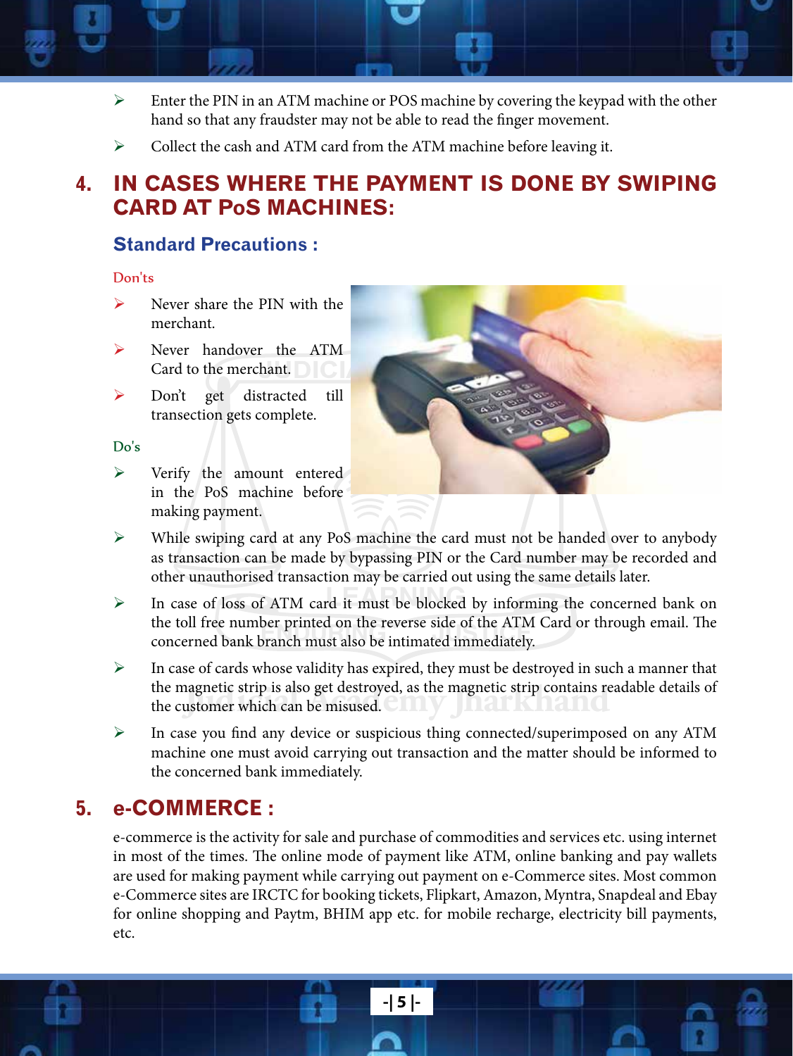- $\triangleright$  Enter the PIN in an ATM machine or POS machine by covering the keypad with the other hand so that any fraudster may not be able to read the finger movement.
	- Collect the cash and ATM card from the ATM machine before leaving it.

# **4. IN CASES WHERE THE PAYMENT IS DONE BY SWIPING CARD AT PoS MACHINES:**

#### **Standard Precautions :**

#### Don'ts

- $\triangleright$  Never share the PIN with the merchant.
- ¾ Never handover the ATM Card to the merchant.
- ¾ Don't get distracted till transection gets complete.

#### Do's

 $\triangleright$  Verify the amount entered in the PoS machine before making payment.



- ¾ While swiping card at any PoS machine the card must not be handed over to anybody as transaction can be made by bypassing PIN or the Card number may be recorded and other unauthorised transaction may be carried out using the same details later.
- ¾ In case of loss of ATM card it must be blocked by informing the concerned bank on the toll free number printed on the reverse side of the ATM Card or through email. The concerned bank branch must also be intimated immediately.
- the magnetic strip is also get destroyed, as the magnetic strip contains readable details of the customer which can be misused.  $\triangleright$  In case of cards whose validity has expired, they must be destroyed in such a manner that the customer which can be misused.
- ¾ In case you find any device or suspicious thing connected/superimposed on any ATM machine one must avoid carrying out transaction and the matter should be informed to the concerned bank immediately.

# **5. e-COMMERCE :**

e-commerce is the activity for sale and purchase of commodities and services etc. using internet in most of the times. The online mode of payment like ATM, online banking and pay wallets are used for making payment while carrying out payment on e-Commerce sites. Most common e-Commerce sites are IRCTC for booking tickets, Flipkart, Amazon, Myntra, Snapdeal and Ebay for online shopping and Paytm, BHIM app etc. for mobile recharge, electricity bill payments, etc.

**-| 5 |-**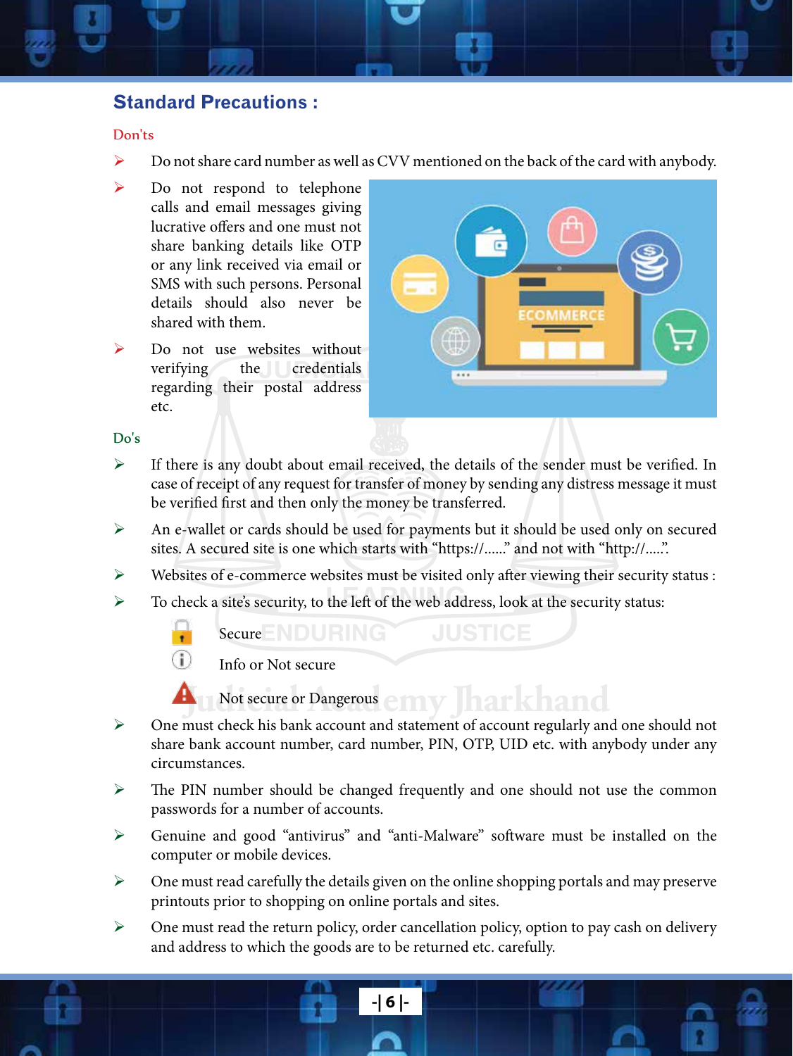#### **Standard Precautions :**

#### Don'ts

- ¾ Do not share card number as well as CVV mentioned on the back of the card with anybody.
- $\triangleright$  Do not respond to telephone calls and email messages giving lucrative offers and one must not share banking details like OTP or any link received via email or SMS with such persons. Personal details should also never be shared with them.
- $\triangleright$  Do not use websites without verifying the credentials regarding their postal address etc.



#### Do's

- ¾ If there is any doubt about email received, the details of the sender must be verified. In case of receipt of any request for transfer of money by sending any distress message it must be verified first and then only the money be transferred.
- ¾ An e-wallet or cards should be used for payments but it should be used only on secured sites. A secured site is one which starts with "https://......" and not with "http://.....".
- ¾ Websites of e-commerce websites must be visited only after viewing their security status :
- ¾ To check a site's security, to the left of the web address, look at the security status:

 $S$ ecure  $E$  DURING





**Judicial Academy Jharkhand** Not secure or Dangerous

- ¾ One must check his bank account and statement of account regularly and one should not share bank account number, card number, PIN, OTP, UID etc. with anybody under any circumstances.
- $\triangleright$  The PIN number should be changed frequently and one should not use the common passwords for a number of accounts.
- ¾ Genuine and good "antivirus" and "anti-Malware" software must be installed on the computer or mobile devices.
- $\triangleright$  One must read carefully the details given on the online shopping portals and may preserve printouts prior to shopping on online portals and sites.
- $\triangleright$  One must read the return policy, order cancellation policy, option to pay cash on delivery and address to which the goods are to be returned etc. carefully.

**-| 6 |-**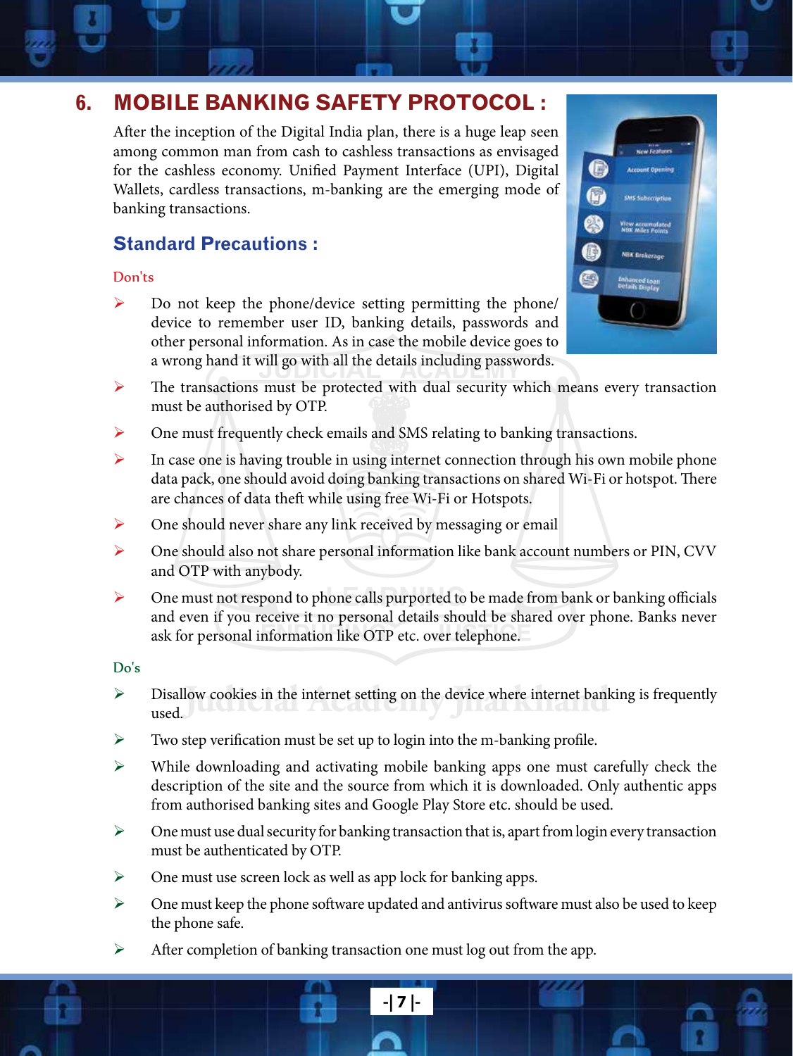# **6. MOBILE BANKING SAFETY PROTOCOL :**

After the inception of the Digital India plan, there is a huge leap seen among common man from cash to cashless transactions as envisaged for the cashless economy. Unified Payment Interface (UPI), Digital Wallets, cardless transactions, m-banking are the emerging mode of banking transactions.

## **Standard Precautions :**

#### Don'ts

 $\triangleright$  Do not keep the phone/device setting permitting the phone/ device to remember user ID, banking details, passwords and other personal information. As in case the mobile device goes to a wrong hand it will go with all the details including passwords.



- ¾ The transactions must be protected with dual security which means every transaction must be authorised by OTP.
- ¾ One must frequently check emails and SMS relating to banking transactions.
- $\triangleright$  In case one is having trouble in using internet connection through his own mobile phone data pack, one should avoid doing banking transactions on shared Wi-Fi or hotspot. There are chances of data theft while using free Wi-Fi or Hotspots.
- $\triangleright$  One should never share any link received by messaging or email
- ¾ One should also not share personal information like bank account numbers or PIN, CVV and OTP with anybody.
- ¾ One must not respond to phone calls purported to be made from bank or banking officials and even if you receive it no personal details should be shared over phone. Banks never ask for personal information like OTP etc. over telephone.

#### Do's

- $\triangleright$  Disallow cookies in the internet setting on the device where internet banking is frequently used. used.
- $\triangleright$  Two step verification must be set up to login into the m-banking profile.
- ¾ While downloading and activating mobile banking apps one must carefully check the description of the site and the source from which it is downloaded. Only authentic apps from authorised banking sites and Google Play Store etc. should be used.
- $\triangleright$  One must use dual security for banking transaction that is, apart from login every transaction must be authenticated by OTP.
- $\triangleright$  One must use screen lock as well as app lock for banking apps.
- $\triangleright$  One must keep the phone software updated and antivirus software must also be used to keep the phone safe.

**-| 7 |-**

¾ After completion of banking transaction one must log out from the app.